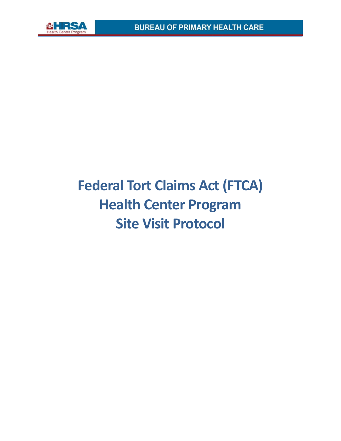

# **Federal Tort Claims Act (FTCA) Health Center Program Site Visit Protocol**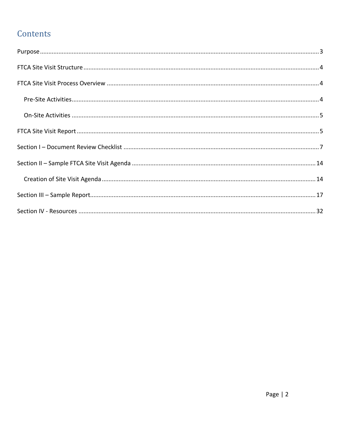# Contents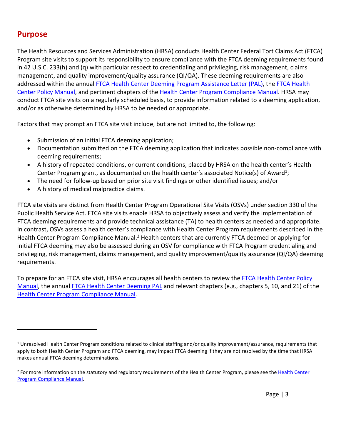### <span id="page-2-0"></span>**Purpose**

The Health Resources and Services Administration (HRSA) conducts Health Center Federal Tort Claims Act (FTCA) Program site visits to support its responsibility to ensure compliance with the FTCA deeming requirements found in 42 U.S.C. 233(h) and (q) with particular respect to credentialing and privileging, risk management, claims management, and quality improvement/quality assurance (QI/QA). These deeming requirements are also addressed within the annual FTCA [Health Center Deeming Program Assistance Letter \(PAL\),](https://bphc.hrsa.gov/sites/default/files/bphc/ftca/pdf/pal-2019-02.pdf) the [FTCA Health](https://bphc.hrsa.gov/sites/default/files/bphc/ftca/pdf/ftcahcpolicymanualpdf.pdf)  [Center Policy Manual,](https://bphc.hrsa.gov/sites/default/files/bphc/ftca/pdf/ftcahcpolicymanualpdf.pdf) and pertinent chapters of the Health [Center Program Compliance Manual.](https://bphc.hrsa.gov/programrequirements/pdf/healthcentercompliancemanual.pdf) HRSA may conduct FTCA site visits on a regularly scheduled basis, to provide information related to a deeming application, and/or as otherwise determined by HRSA to be needed or appropriate.

Factors that may prompt an FTCA site visit include, but are not limited to, the following:

- Submission of an initial FTCA deeming application;
- Documentation submitted on the FTCA deeming application that indicates possible non-compliance with deeming requirements;
- A history of repeated conditions, or current conditions, placed by HRSA on the health center's Health Center Program grant, as documented on the health center's associated Notice(s) of Award<sup>1</sup>;
- The need for follow-up based on prior site visit findings or other identified issues; and/or
- A history of medical malpractice claims.

FTCA site visits are distinct from Health Center Program Operational Site Visits (OSVs) under section 330 of the Public Health Service Act. FTCA site visits enable HRSA to objectively assess and verify the implementation of FTCA deeming requirements and provide technical assistance (TA) to health centers as needed and appropriate. In contrast, OSVs assess a health center's compliance with Health Center Program requirements described in the Health Center Program Compliance Manual.<sup>2</sup> Health centers that are currently FTCA deemed or applying for initial FTCA deeming may also be assessed during an OSV for compliance with FTCA Program credentialing and privileging, risk management, claims management, and quality improvement/quality assurance (QI/QA) deeming requirements.

To prepare for an FTCA site visit, HRSA encourages all health centers to review the FTCA Health Center Policy [Manual,](https://bphc.hrsa.gov/sites/default/files/bphc/ftca/pdf/ftcahcpolicymanualpdf.pdf) the annua[l FTCA Health Center Deeming PAL](https://bphc.hrsa.gov/sites/default/files/bphc/ftca/pdf/pal-2019-02.pdf) and relevant chapters (e.g., chapters 5, 10, and 21) of the [Health Center Program Compliance Manual.](https://bphc.hrsa.gov/programrequirements/pdf/healthcentercompliancemanual.pdf)

<sup>&</sup>lt;sup>1</sup> Unresolved Health Center Program conditions related to clinical staffing and/or quality improvement/assurance, requirements that apply to both Health Center Program and FTCA deeming, may impact FTCA deeming if they are not resolved by the time that HRSA makes annual FTCA deeming determinations.

<sup>&</sup>lt;sup>2</sup> For more information on the statutory and regulatory requirements of th[e Health Center](https://bphc.hrsa.gov/programrequirements/pdf/healthcentercompliancemanual.pdf) Program, please see the Health Center [Program Compliance Manual.](https://bphc.hrsa.gov/programrequirements/pdf/healthcentercompliancemanual.pdf)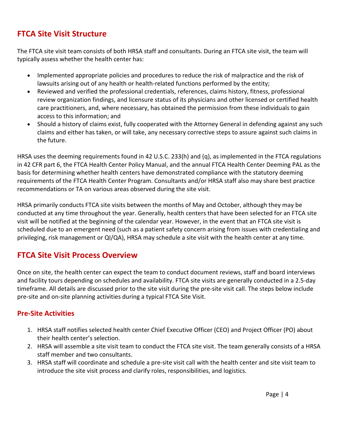## <span id="page-3-0"></span>**FTCA Site Visit Structure**

The FTCA site visit team consists of both HRSA staff and consultants. During an FTCA site visit, the team will typically assess whether the health center has:

- Implemented appropriate policies and procedures to reduce the risk of malpractice and the risk of lawsuits arising out of any health or health-related functions performed by the entity;
- Reviewed and verified the professional credentials, references, claims history, fitness, professional review organization findings, and licensure status of its physicians and other licensed or certified health care practitioners, and, where necessary, has obtained the permission from these individuals to gain access to this information; and
- Should a history of claims exist, fully cooperated with the Attorney General in defending against any such claims and either has taken, or will take, any necessary corrective steps to assure against such claims in the future.

HRSA uses the deeming requirements found in 42 U.S.C. 233(h) and (q), as implemented in the FTCA regulations in 42 CFR part 6, the FTCA Health Center Policy Manual, and the annual FTCA Health Center Deeming PAL as the basis for determining whether health centers have demonstrated compliance with the statutory deeming requirements of the FTCA Health Center Program. Consultants and/or HRSA staff also may share best practice recommendations or TA on various areas observed during the site visit.

HRSA primarily conducts FTCA site visits between the months of May and October, although they may be conducted at any time throughout the year. Generally, health centers that have been selected for an FTCA site visit will be notified at the beginning of the calendar year. However, in the event that an FTCA site visit is scheduled due to an emergent need (such as a patient safety concern arising from issues with credentialing and privileging, risk management or QI/QA), HRSA may schedule a site visit with the health center at any time.

# <span id="page-3-1"></span>**FTCA Site Visit Process Overview**

Once on site, the health center can expect the team to conduct document reviews, staff and board interviews and facility tours depending on schedules and availability. FTCA site visits are generally conducted in a 2.5-day timeframe. All details are discussed prior to the site visit during the pre-site visit call. The steps below include pre-site and on-site planning activities during a typical FTCA Site Visit.

#### <span id="page-3-2"></span>**Pre-Site Activities**

- 1. HRSA staff notifies selected health center Chief Executive Officer (CEO) and Project Officer (PO) about their health center's selection.
- 2. HRSA will assemble a site visit team to conduct the FTCA site visit. The team generally consists of a HRSA staff member and two consultants.
- 3. HRSA staff will coordinate and schedule a pre-site visit call with the health center and site visit team to introduce the site visit process and clarify roles, responsibilities, and logistics.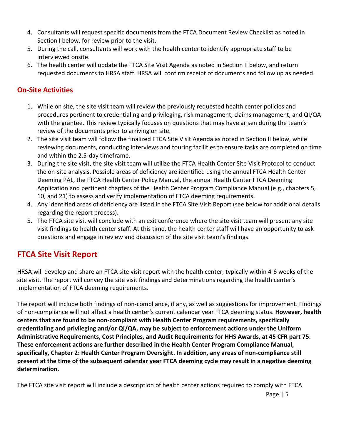- 4. Consultants will request specific documents from the FTCA Document Review Checklist as noted in Section I below, for review prior to the visit.
- 5. During the call, consultants will work with the health center to identify appropriate staff to be interviewed onsite.
- 6. The health center will update the FTCA Site Visit Agenda as noted in Section II below, and return requested documents to HRSA staff. HRSA will confirm receipt of documents and follow up as needed.

#### <span id="page-4-0"></span>**On-Site Activities**

- 1. While on site, the site visit team will review the previously requested health center policies and procedures pertinent to credentialing and privileging, risk management, claims management, and QI/QA with the grantee. This review typically focuses on questions that may have arisen during the team's review of the documents prior to arriving on site.
- 2. The site visit team will follow the finalized FTCA Site Visit Agenda as noted in Section II below, while reviewing documents, conducting interviews and touring facilities to ensure tasks are completed on time and within the 2.5-day timeframe.
- 3. During the site visit, the site visit team will utilize the FTCA Health Center Site Visit Protocol to conduct the on-site analysis. Possible areas of deficiency are identified using the annual FTCA Health Center Deeming PAL, the FTCA Health Center Policy Manual, the annual Health Center FTCA Deeming Application and pertinent chapters of the Health Center Program Compliance Manual (e.g., chapters 5, 10, and 21) to assess and verify implementation of FTCA deeming requirements.
- 4. Any identified areas of deficiency are listed in the FTCA Site Visit Report (see below for additional details regarding the report process).
- 5. The FTCA site visit will conclude with an exit conference where the site visit team will present any site visit findings to health center staff. At this time, the health center staff will have an opportunity to ask questions and engage in review and discussion of the site visit team's findings.

## <span id="page-4-1"></span>**FTCA Site Visit Report**

HRSA will develop and share an FTCA site visit report with the health center, typically within 4-6 weeks of the site visit. The report will convey the site visit findings and determinations regarding the health center's implementation of FTCA deeming requirements.

The report will include both findings of non-compliance, if any, as well as suggestions for improvement. Findings of non-compliance will not affect a health center's current calendar year FTCA deeming status. **However, health centers that are found to be non-compliant with Health Center Program requirements, specifically credentialing and privileging and/or QI/QA, may be subject to enforcement actions under the Uniform Administrative Requirements, Cost Principles, and Audit Requirements for HHS Awards, at 45 CFR part 75. These enforcement actions are further described in the Health Center Program Compliance Manual, specifically, Chapter 2: Health Center Program Oversight. In addition, any areas of non-compliance still present at the time of the subsequent calendar year FTCA deeming cycle may result in a negative deeming determination.**

The FTCA site visit report will include a description of health center actions required to comply with FTCA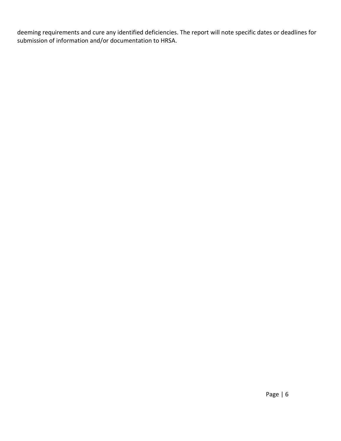deeming requirements and cure any identified deficiencies. The report will note specific dates or deadlines for submission of information and/or documentation to HRSA.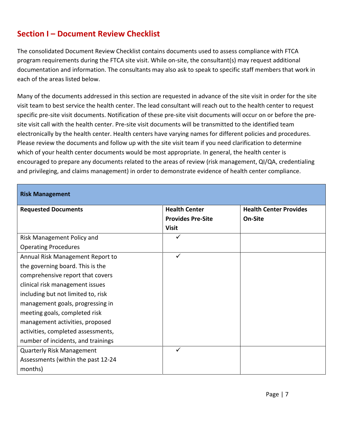# <span id="page-6-0"></span>**Section I – Document Review Checklist**

The consolidated Document Review Checklist contains documents used to assess compliance with FTCA program requirements during the FTCA site visit. While on-site, the consultant(s) may request additional documentation and information. The consultants may also ask to speak to specific staff members that work in each of the areas listed below.

Many of the documents addressed in this section are requested in advance of the site visit in order for the site visit team to best service the health center. The lead consultant will reach out to the health center to request specific pre-site visit documents. Notification of these pre-site visit documents will occur on or before the presite visit call with the health center. Pre-site visit documents will be transmitted to the identified team electronically by the health center. Health centers have varying names for different policies and procedures. Please review the documents and follow up with the site visit team if you need clarification to determine which of your health center documents would be most appropriate. In general, the health center is encouraged to prepare any documents related to the areas of review (risk management, QI/QA, credentialing and privileging, and claims management) in order to demonstrate evidence of health center compliance.

| <b>Risk Management</b>             |                          |                               |
|------------------------------------|--------------------------|-------------------------------|
| <b>Requested Documents</b>         | <b>Health Center</b>     | <b>Health Center Provides</b> |
|                                    | <b>Provides Pre-Site</b> | On-Site                       |
|                                    | <b>Visit</b>             |                               |
| Risk Management Policy and         |                          |                               |
| <b>Operating Procedures</b>        |                          |                               |
| Annual Risk Management Report to   | ✓                        |                               |
| the governing board. This is the   |                          |                               |
| comprehensive report that covers   |                          |                               |
| clinical risk management issues    |                          |                               |
| including but not limited to, risk |                          |                               |
| management goals, progressing in   |                          |                               |
| meeting goals, completed risk      |                          |                               |
| management activities, proposed    |                          |                               |
| activities, completed assessments, |                          |                               |
| number of incidents, and trainings |                          |                               |
| <b>Quarterly Risk Management</b>   |                          |                               |
| Assessments (within the past 12-24 |                          |                               |
| months)                            |                          |                               |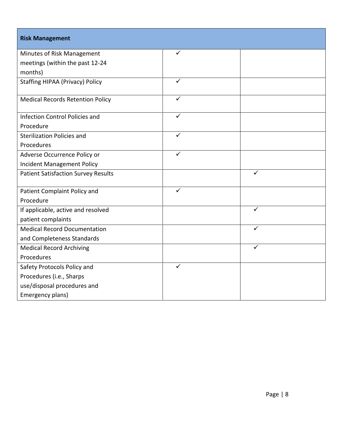| <b>Risk Management</b>                     |              |              |
|--------------------------------------------|--------------|--------------|
| Minutes of Risk Management                 | ✓            |              |
| meetings (within the past 12-24            |              |              |
| months)                                    |              |              |
| <b>Staffing HIPAA (Privacy) Policy</b>     | $\checkmark$ |              |
| <b>Medical Records Retention Policy</b>    | ✓            |              |
| <b>Infection Control Policies and</b>      | ✓            |              |
| Procedure                                  |              |              |
| <b>Sterilization Policies and</b>          | ✓            |              |
| Procedures                                 |              |              |
| Adverse Occurrence Policy or               | ✓            |              |
| <b>Incident Management Policy</b>          |              |              |
| <b>Patient Satisfaction Survey Results</b> |              | ✓            |
| Patient Complaint Policy and               | ✓            |              |
| Procedure                                  |              |              |
| If applicable, active and resolved         |              | $\checkmark$ |
| patient complaints                         |              |              |
| <b>Medical Record Documentation</b>        |              | ✓            |
| and Completeness Standards                 |              |              |
| <b>Medical Record Archiving</b>            |              | ✓            |
| Procedures                                 |              |              |
| Safety Protocols Policy and                | ✓            |              |
| Procedures (i.e., Sharps                   |              |              |
| use/disposal procedures and                |              |              |
| Emergency plans)                           |              |              |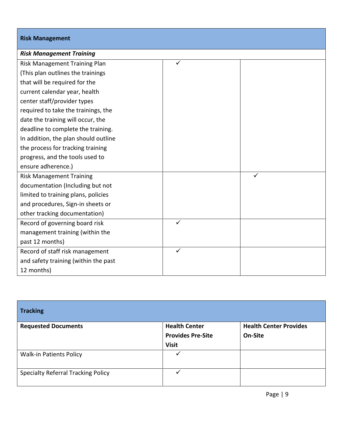| <b>Risk Management</b>               |              |  |
|--------------------------------------|--------------|--|
| <b>Risk Management Training</b>      |              |  |
| Risk Management Training Plan        | ✓            |  |
| (This plan outlines the trainings    |              |  |
| that will be required for the        |              |  |
| current calendar year, health        |              |  |
| center staff/provider types          |              |  |
| required to take the trainings, the  |              |  |
| date the training will occur, the    |              |  |
| deadline to complete the training.   |              |  |
| In addition, the plan should outline |              |  |
| the process for tracking training    |              |  |
| progress, and the tools used to      |              |  |
| ensure adherence.)                   |              |  |
| <b>Risk Management Training</b>      |              |  |
| documentation (Including but not     |              |  |
| limited to training plans, policies  |              |  |
| and procedures, Sign-in sheets or    |              |  |
| other tracking documentation)        |              |  |
| Record of governing board risk       | $\checkmark$ |  |
| management training (within the      |              |  |
| past 12 months)                      |              |  |
| Record of staff risk management      | ✓            |  |
| and safety training (within the past |              |  |
| 12 months)                           |              |  |

| <b>Tracking</b>                           |                                                                  |                                          |
|-------------------------------------------|------------------------------------------------------------------|------------------------------------------|
| <b>Requested Documents</b>                | <b>Health Center</b><br><b>Provides Pre-Site</b><br><b>Visit</b> | <b>Health Center Provides</b><br>On-Site |
| <b>Walk-in Patients Policy</b>            |                                                                  |                                          |
| <b>Specialty Referral Tracking Policy</b> |                                                                  |                                          |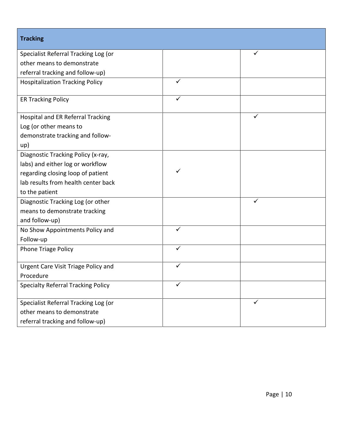| <b>Tracking</b>                            |              |              |
|--------------------------------------------|--------------|--------------|
| Specialist Referral Tracking Log (or       |              |              |
| other means to demonstrate                 |              |              |
| referral tracking and follow-up)           |              |              |
| <b>Hospitalization Tracking Policy</b>     | ✓            |              |
| <b>ER Tracking Policy</b>                  | $\checkmark$ |              |
| Hospital and ER Referral Tracking          |              | ✓            |
| Log (or other means to                     |              |              |
| demonstrate tracking and follow-           |              |              |
| up)                                        |              |              |
| Diagnostic Tracking Policy (x-ray,         |              |              |
| labs) and either log or workflow           |              |              |
| regarding closing loop of patient          |              |              |
| lab results from health center back        |              |              |
| to the patient                             |              |              |
| Diagnostic Tracking Log (or other          |              | $\checkmark$ |
| means to demonstrate tracking              |              |              |
| and follow-up)                             |              |              |
| No Show Appointments Policy and            | $\checkmark$ |              |
| Follow-up                                  |              |              |
| <b>Phone Triage Policy</b>                 | ✓            |              |
| <b>Urgent Care Visit Triage Policy and</b> | ✓            |              |
| Procedure                                  |              |              |
| <b>Specialty Referral Tracking Policy</b>  |              |              |
| Specialist Referral Tracking Log (or       |              | ✓            |
| other means to demonstrate                 |              |              |
| referral tracking and follow-up)           |              |              |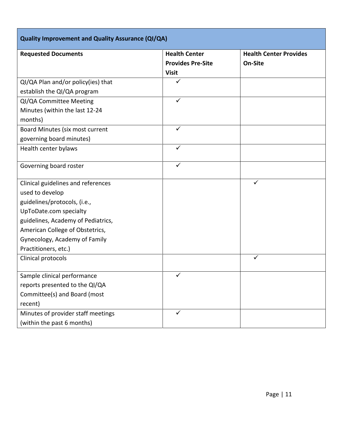| <b>Quality Improvement and Quality Assurance (QI/QA)</b> |                          |                               |
|----------------------------------------------------------|--------------------------|-------------------------------|
| <b>Requested Documents</b>                               | <b>Health Center</b>     | <b>Health Center Provides</b> |
|                                                          | <b>Provides Pre-Site</b> | On-Site                       |
|                                                          | <b>Visit</b>             |                               |
| QI/QA Plan and/or policy(ies) that                       | ✓                        |                               |
| establish the QI/QA program                              |                          |                               |
| QI/QA Committee Meeting                                  | ✓                        |                               |
| Minutes (within the last 12-24                           |                          |                               |
| months)                                                  |                          |                               |
| Board Minutes (six most current                          | $\checkmark$             |                               |
| governing board minutes)                                 |                          |                               |
| Health center bylaws                                     | ✓                        |                               |
|                                                          |                          |                               |
| Governing board roster                                   | ✓                        |                               |
| Clinical guidelines and references                       |                          | ✓                             |
| used to develop                                          |                          |                               |
| guidelines/protocols, (i.e.,                             |                          |                               |
| UpToDate.com specialty                                   |                          |                               |
| guidelines, Academy of Pediatrics,                       |                          |                               |
| American College of Obstetrics,                          |                          |                               |
| Gynecology, Academy of Family                            |                          |                               |
| Practitioners, etc.)                                     |                          |                               |
| Clinical protocols                                       |                          | ✓                             |
|                                                          |                          |                               |
| Sample clinical performance                              | ✓                        |                               |
| reports presented to the QI/QA                           |                          |                               |
| Committee(s) and Board (most                             |                          |                               |
| recent)                                                  |                          |                               |
| Minutes of provider staff meetings                       | ✓                        |                               |
| (within the past 6 months)                               |                          |                               |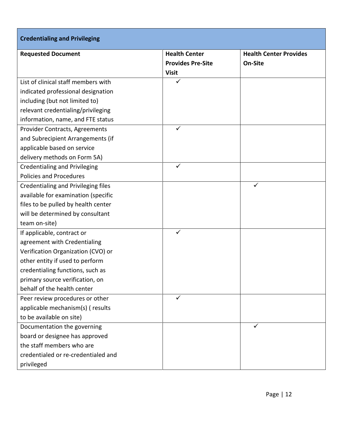| <b>Credentialing and Privileging</b>       |                          |                               |
|--------------------------------------------|--------------------------|-------------------------------|
| <b>Requested Document</b>                  | <b>Health Center</b>     | <b>Health Center Provides</b> |
|                                            | <b>Provides Pre-Site</b> | On-Site                       |
|                                            | <b>Visit</b>             |                               |
| List of clinical staff members with        | ✓                        |                               |
| indicated professional designation         |                          |                               |
| including (but not limited to)             |                          |                               |
| relevant credentialing/privileging         |                          |                               |
| information, name, and FTE status          |                          |                               |
| Provider Contracts, Agreements             | ✓                        |                               |
| and Subrecipient Arrangements (if          |                          |                               |
| applicable based on service                |                          |                               |
| delivery methods on Form 5A)               |                          |                               |
| <b>Credentialing and Privileging</b>       | $\checkmark$             |                               |
| <b>Policies and Procedures</b>             |                          |                               |
| <b>Credentialing and Privileging files</b> |                          | ✓                             |
| available for examination (specific        |                          |                               |
| files to be pulled by health center        |                          |                               |
| will be determined by consultant           |                          |                               |
| team on-site)                              |                          |                               |
| If applicable, contract or                 | $\checkmark$             |                               |
| agreement with Credentialing               |                          |                               |
| Verification Organization (CVO) or         |                          |                               |
| other entity if used to perform            |                          |                               |
| credentialing functions, such as           |                          |                               |
| primary source verification, on            |                          |                               |
| behalf of the health center                |                          |                               |
| Peer review procedures or other            | $\checkmark$             |                               |
| applicable mechanism(s) (results           |                          |                               |
| to be available on site)                   |                          |                               |
| Documentation the governing                |                          | $\checkmark$                  |
| board or designee has approved             |                          |                               |
| the staff members who are                  |                          |                               |
| credentialed or re-credentialed and        |                          |                               |
| privileged                                 |                          |                               |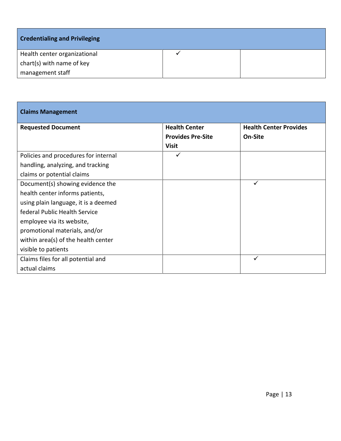| <b>Credentialing and Privileging</b> |  |
|--------------------------------------|--|
| Health center organizational         |  |
| chart(s) with name of key            |  |
| management staff                     |  |

| <b>Claims Management</b>             |                                                  |                                          |
|--------------------------------------|--------------------------------------------------|------------------------------------------|
| <b>Requested Document</b>            | <b>Health Center</b><br><b>Provides Pre-Site</b> | <b>Health Center Provides</b><br>On-Site |
|                                      | <b>Visit</b>                                     |                                          |
| Policies and procedures for internal | ✓                                                |                                          |
| handling, analyzing, and tracking    |                                                  |                                          |
| claims or potential claims           |                                                  |                                          |
| Document(s) showing evidence the     |                                                  | ✓                                        |
| health center informs patients,      |                                                  |                                          |
| using plain language, it is a deemed |                                                  |                                          |
| federal Public Health Service        |                                                  |                                          |
| employee via its website,            |                                                  |                                          |
| promotional materials, and/or        |                                                  |                                          |
| within area(s) of the health center  |                                                  |                                          |
| visible to patients                  |                                                  |                                          |
| Claims files for all potential and   |                                                  | $\checkmark$                             |
| actual claims                        |                                                  |                                          |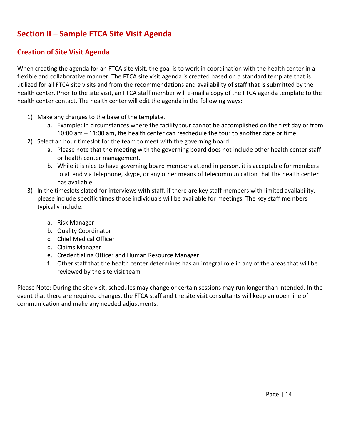# <span id="page-13-0"></span>**Section II – Sample FTCA Site Visit Agenda**

#### <span id="page-13-1"></span>**Creation of Site Visit Agenda**

When creating the agenda for an FTCA site visit, the goal is to work in coordination with the health center in a flexible and collaborative manner. The FTCA site visit agenda is created based on a standard template that is utilized for all FTCA site visits and from the recommendations and availability of staff that is submitted by the health center. Prior to the site visit, an FTCA staff member will e-mail a copy of the FTCA agenda template to the health center contact. The health center will edit the agenda in the following ways:

- 1) Make any changes to the base of the template.
	- a. Example: In circumstances where the facility tour cannot be accomplished on the first day or from 10:00 am – 11:00 am, the health center can reschedule the tour to another date or time.
- 2) Select an hour timeslot for the team to meet with the governing board.
	- a. Please note that the meeting with the governing board does not include other health center staff or health center management.
	- b. While it is nice to have governing board members attend in person, it is acceptable for members to attend via telephone, skype, or any other means of telecommunication that the health center has available.
- 3) In the timeslots slated for interviews with staff, if there are key staff members with limited availability, please include specific times those individuals will be available for meetings. The key staff members typically include:
	- a. Risk Manager
	- b. Quality Coordinator
	- c. Chief Medical Officer
	- d. Claims Manager
	- e. Credentialing Officer and Human Resource Manager
	- f. Other staff that the health center determines has an integral role in any of the areas that will be reviewed by the site visit team

Please Note: During the site visit, schedules may change or certain sessions may run longer than intended. In the event that there are required changes, the FTCA staff and the site visit consultants will keep an open line of communication and make any needed adjustments.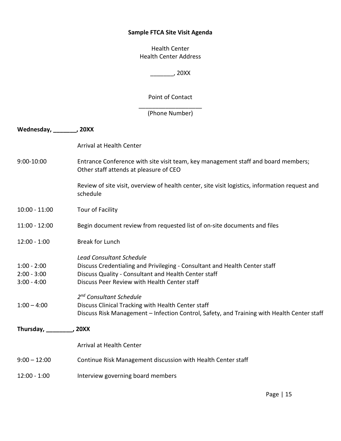#### **Sample FTCA Site Visit Agenda**

Health Center Health Center Address

\_\_\_\_\_\_\_, 20XX

Point of Contact

\_\_\_\_\_\_\_\_\_\_\_\_\_\_\_\_\_\_\_ (Phone Number)

| Wednesday, 70XX           |                                                                                                                             |
|---------------------------|-----------------------------------------------------------------------------------------------------------------------------|
|                           | Arrival at Health Center                                                                                                    |
| 9:00-10:00                | Entrance Conference with site visit team, key management staff and board members;<br>Other staff attends at pleasure of CEO |
|                           | Review of site visit, overview of health center, site visit logistics, information request and<br>schedule                  |
| $10:00 - 11:00$           | Tour of Facility                                                                                                            |
| $11:00 - 12:00$           | Begin document review from requested list of on-site documents and files                                                    |
| $12:00 - 1:00$            | <b>Break for Lunch</b>                                                                                                      |
|                           | <b>Lead Consultant Schedule</b>                                                                                             |
| $1:00 - 2:00$             | Discuss Credentialing and Privileging - Consultant and Health Center staff                                                  |
| $2:00 - 3:00$             | Discuss Quality - Consultant and Health Center staff                                                                        |
| $3:00 - 4:00$             | Discuss Peer Review with Health Center staff                                                                                |
|                           | 2 <sup>nd</sup> Consultant Schedule                                                                                         |
| $1:00 - 4:00$             | Discuss Clinical Tracking with Health Center staff                                                                          |
|                           | Discuss Risk Management - Infection Control, Safety, and Training with Health Center staff                                  |
| Thursday, _________, 20XX |                                                                                                                             |
|                           | Arrival at Health Center                                                                                                    |
| $9:00 - 12:00$            | Continue Risk Management discussion with Health Center staff                                                                |
| $12:00 - 1:00$            | Interview governing board members                                                                                           |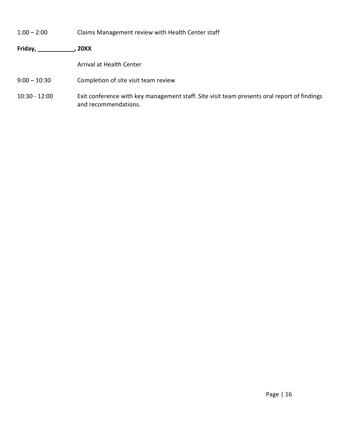- 1:00 2:00 Claims Management review with Health Center staff
- **Friday, \_\_\_\_\_\_\_\_\_\_\_, 20XX**

Arrival at Health Center

- 9:00 10:30 Completion of site visit team review
- 10:30 12:00 Exit conference with key management staff. Site visit team presents oral report of findings and recommendations.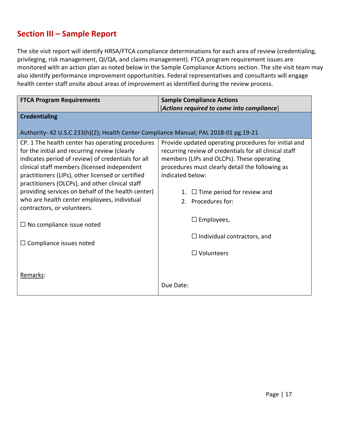## <span id="page-16-0"></span>**Section III – Sample Report**

The site visit report will identify HRSA/FTCA compliance determinations for each area of review (credentialing, privileging, risk management, QI/QA, and claims management). FTCA program requirement issues are monitored with an action plan as noted below in the Sample Compliance Actions section. The site visit team may also identify performance improvement opportunities. Federal representatives and consultants will engage health center staff onsite about areas of improvement as identified during the review process.

| <b>FTCA Program Requirements</b>                                                                                                                                                                                                                                                                                                                                                                                     | <b>Sample Compliance Actions</b>                                                                                                                                                                                                                                                                       |  |
|----------------------------------------------------------------------------------------------------------------------------------------------------------------------------------------------------------------------------------------------------------------------------------------------------------------------------------------------------------------------------------------------------------------------|--------------------------------------------------------------------------------------------------------------------------------------------------------------------------------------------------------------------------------------------------------------------------------------------------------|--|
|                                                                                                                                                                                                                                                                                                                                                                                                                      | $[Actions$ required to come into compliance $]$                                                                                                                                                                                                                                                        |  |
| <b>Credentialing</b>                                                                                                                                                                                                                                                                                                                                                                                                 |                                                                                                                                                                                                                                                                                                        |  |
| Authority- 42 U.S.C 233(h)(2); Health Center Compliance Manual; PAL 2018-01 pg.19-21                                                                                                                                                                                                                                                                                                                                 |                                                                                                                                                                                                                                                                                                        |  |
| CP. 1 The health center has operating procedures<br>for the initial and recurring review (clearly<br>indicates period of review) of credentials for all<br>clinical staff members (licensed independent<br>practitioners (LIPs), other licensed or certified<br>practitioners (OLCPs), and other clinical staff<br>providing services on behalf of the health center)<br>who are health center employees, individual | Provide updated operating procedures for initial and<br>recurring review of credentials for all clinical staff<br>members (LIPs and OLCPs). These operating<br>procedures must clearly detail the following as<br>indicated below:<br>$\Box$ Time period for review and<br>1.<br>Procedures for:<br>2. |  |
| contractors, or volunteers.                                                                                                                                                                                                                                                                                                                                                                                          | $\Box$ Employees,                                                                                                                                                                                                                                                                                      |  |
| $\Box$ No compliance issue noted                                                                                                                                                                                                                                                                                                                                                                                     |                                                                                                                                                                                                                                                                                                        |  |
| $\Box$ Compliance issues noted                                                                                                                                                                                                                                                                                                                                                                                       | $\Box$ Individual contractors, and                                                                                                                                                                                                                                                                     |  |
|                                                                                                                                                                                                                                                                                                                                                                                                                      | $\Box$ Volunteers                                                                                                                                                                                                                                                                                      |  |
| Remarks:                                                                                                                                                                                                                                                                                                                                                                                                             | Due Date:                                                                                                                                                                                                                                                                                              |  |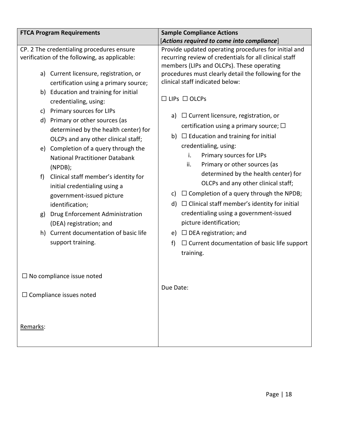| <b>FTCA Program Requirements</b>                                                                                     | <b>Sample Compliance Actions</b>                                                                                                                             |  |  |
|----------------------------------------------------------------------------------------------------------------------|--------------------------------------------------------------------------------------------------------------------------------------------------------------|--|--|
|                                                                                                                      | [Actions required to come into compliance]                                                                                                                   |  |  |
| CP. 2 The credentialing procedures ensure<br>verification of the following, as applicable:                           | Provide updated operating procedures for initial and<br>recurring review of credentials for all clinical staff<br>members (LIPs and OLCPs). These operating  |  |  |
| a) Current licensure, registration, or<br>certification using a primary source;                                      | procedures must clearly detail the following for the<br>clinical staff indicated below:                                                                      |  |  |
| b) Education and training for initial<br>credentialing, using:                                                       | $\Box$ LIPs $\Box$ OLCPs                                                                                                                                     |  |  |
| Primary sources for LIPs<br>c)<br>d) Primary or other sources (as<br>determined by the health center) for            | $\Box$ Current licensure, registration, or<br>a)<br>certification using a primary source; $\Box$                                                             |  |  |
| OLCPs and any other clinical staff;<br>e) Completion of a query through the<br><b>National Practitioner Databank</b> | b) $\Box$ Education and training for initial<br>credentialing, using:<br>i.<br>Primary sources for LIPs<br>ii.<br>Primary or other sources (as               |  |  |
| (NPDB);<br>Clinical staff member's identity for<br>f)<br>initial credentialing using a                               | determined by the health center) for<br>OLCPs and any other clinical staff;                                                                                  |  |  |
| government-issued picture<br>identification;<br>Drug Enforcement Administration<br>g)                                | $\Box$ Completion of a query through the NPDB;<br>C)<br>$\Box$ Clinical staff member's identity for initial<br>d)<br>credentialing using a government-issued |  |  |
| (DEA) registration; and                                                                                              | picture identification;                                                                                                                                      |  |  |
| h) Current documentation of basic life<br>support training.                                                          | e) $\Box$ DEA registration; and<br>f)<br>$\Box$ Current documentation of basic life support<br>training.                                                     |  |  |
| $\square$ No compliance issue noted                                                                                  |                                                                                                                                                              |  |  |
| $\Box$ Compliance issues noted                                                                                       | Due Date:                                                                                                                                                    |  |  |
| Remarks:                                                                                                             |                                                                                                                                                              |  |  |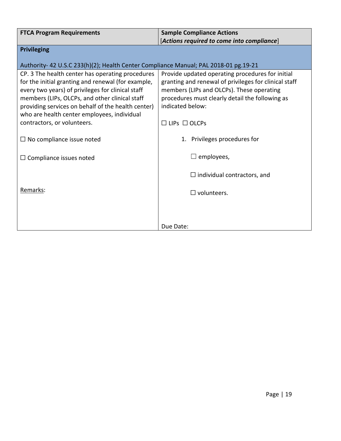| <b>FTCA Program Requirements</b>                                                    | <b>Sample Compliance Actions</b>                      |
|-------------------------------------------------------------------------------------|-------------------------------------------------------|
|                                                                                     | [Actions required to come into compliance]            |
| <b>Privileging</b>                                                                  |                                                       |
|                                                                                     |                                                       |
| Authority-42 U.S.C 233(h)(2); Health Center Compliance Manual; PAL 2018-01 pg.19-21 |                                                       |
| CP. 3 The health center has operating procedures                                    | Provide updated operating procedures for initial      |
| for the initial granting and renewal (for example,                                  | granting and renewal of privileges for clinical staff |
| every two years) of privileges for clinical staff                                   | members (LIPs and OLCPs). These operating             |
| members (LIPs, OLCPs, and other clinical staff                                      | procedures must clearly detail the following as       |
| providing services on behalf of the health center)                                  | indicated below:                                      |
| who are health center employees, individual                                         |                                                       |
| contractors, or volunteers.                                                         | $\Box$ LIPs $\Box$ OLCPs                              |
|                                                                                     |                                                       |
| $\Box$ No compliance issue noted                                                    | Privileges procedures for<br>1.                       |
|                                                                                     |                                                       |
| $\Box$ Compliance issues noted                                                      | employees,                                            |
|                                                                                     |                                                       |
|                                                                                     | $\Box$ individual contractors, and                    |
|                                                                                     |                                                       |
| Remarks:                                                                            | $\square$ volunteers.                                 |
|                                                                                     |                                                       |
|                                                                                     |                                                       |
|                                                                                     |                                                       |
|                                                                                     | Due Date:                                             |
|                                                                                     |                                                       |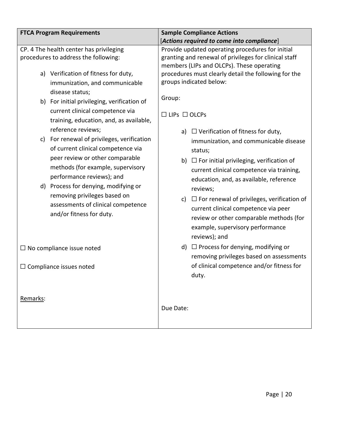| <b>FTCA Program Requirements</b>                                                                                        |                                                                                                                                                                                                                                                                                                                                                    | <b>Sample Compliance Actions</b>                                                                                                                                                                                                                                                                                                                                                                                                                                 |  |
|-------------------------------------------------------------------------------------------------------------------------|----------------------------------------------------------------------------------------------------------------------------------------------------------------------------------------------------------------------------------------------------------------------------------------------------------------------------------------------------|------------------------------------------------------------------------------------------------------------------------------------------------------------------------------------------------------------------------------------------------------------------------------------------------------------------------------------------------------------------------------------------------------------------------------------------------------------------|--|
|                                                                                                                         |                                                                                                                                                                                                                                                                                                                                                    | [Actions required to come into compliance]                                                                                                                                                                                                                                                                                                                                                                                                                       |  |
| CP. 4 The health center has privileging<br>procedures to address the following:<br>a) Verification of fitness for duty, |                                                                                                                                                                                                                                                                                                                                                    | Provide updated operating procedures for initial<br>granting and renewal of privileges for clinical staff<br>members (LIPs and OLCPs). These operating<br>procedures must clearly detail the following for the                                                                                                                                                                                                                                                   |  |
|                                                                                                                         | immunization, and communicable<br>disease status;<br>b) For initial privileging, verification of                                                                                                                                                                                                                                                   | groups indicated below:<br>Group:                                                                                                                                                                                                                                                                                                                                                                                                                                |  |
|                                                                                                                         | current clinical competence via<br>training, education, and, as available,                                                                                                                                                                                                                                                                         | $\Box$ LIPs $\Box$ OLCPs                                                                                                                                                                                                                                                                                                                                                                                                                                         |  |
| C)                                                                                                                      | reference reviews;<br>For renewal of privileges, verification<br>of current clinical competence via<br>peer review or other comparable<br>methods (for example, supervisory<br>performance reviews); and<br>d) Process for denying, modifying or<br>removing privileges based on<br>assessments of clinical competence<br>and/or fitness for duty. | $\Box$ Verification of fitness for duty,<br>a)<br>immunization, and communicable disease<br>status;<br>b) $\Box$ For initial privileging, verification of<br>current clinical competence via training,<br>education, and, as available, reference<br>reviews;<br>$\Box$ For renewal of privileges, verification of<br>c)<br>current clinical competence via peer<br>review or other comparable methods (for<br>example, supervisory performance<br>reviews); and |  |
|                                                                                                                         | $\Box$ No compliance issue noted                                                                                                                                                                                                                                                                                                                   | d) $\Box$ Process for denying, modifying or<br>removing privileges based on assessments                                                                                                                                                                                                                                                                                                                                                                          |  |
|                                                                                                                         | $\Box$ Compliance issues noted                                                                                                                                                                                                                                                                                                                     | of clinical competence and/or fitness for<br>duty.                                                                                                                                                                                                                                                                                                                                                                                                               |  |
| Remarks:                                                                                                                |                                                                                                                                                                                                                                                                                                                                                    | Due Date:                                                                                                                                                                                                                                                                                                                                                                                                                                                        |  |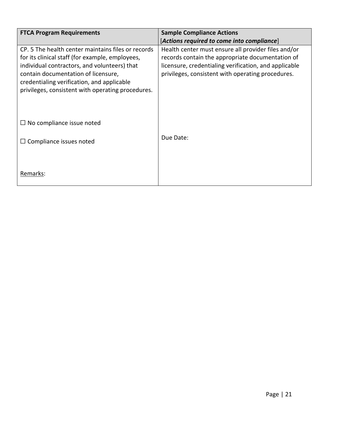| <b>FTCA Program Requirements</b>                                                                                                                                                                                                                                                                | <b>Sample Compliance Actions</b><br>[Actions required to come into compliance]                                                                                                                                        |
|-------------------------------------------------------------------------------------------------------------------------------------------------------------------------------------------------------------------------------------------------------------------------------------------------|-----------------------------------------------------------------------------------------------------------------------------------------------------------------------------------------------------------------------|
| CP. 5 The health center maintains files or records<br>for its clinical staff (for example, employees,<br>individual contractors, and volunteers) that<br>contain documentation of licensure,<br>credentialing verification, and applicable<br>privileges, consistent with operating procedures. | Health center must ensure all provider files and/or<br>records contain the appropriate documentation of<br>licensure, credentialing verification, and applicable<br>privileges, consistent with operating procedures. |
| $\Box$ No compliance issue noted                                                                                                                                                                                                                                                                |                                                                                                                                                                                                                       |
| Compliance issues noted<br>ப                                                                                                                                                                                                                                                                    | Due Date:                                                                                                                                                                                                             |
| Remarks:                                                                                                                                                                                                                                                                                        |                                                                                                                                                                                                                       |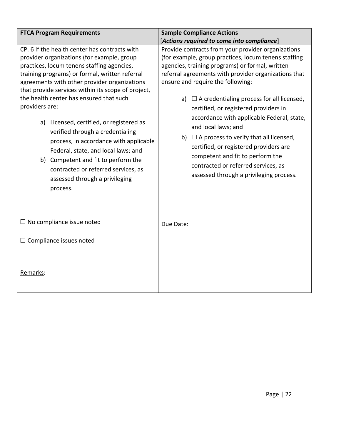| <b>FTCA Program Requirements</b>                                                                                                                                                                                                                                                                                                                                                                                                                                                                                                                                                                                                                            | <b>Sample Compliance Actions</b>                                                                                                                                                                                                                                                                                                                                                                                                                                                                                                                                                                                                                       |  |  |
|-------------------------------------------------------------------------------------------------------------------------------------------------------------------------------------------------------------------------------------------------------------------------------------------------------------------------------------------------------------------------------------------------------------------------------------------------------------------------------------------------------------------------------------------------------------------------------------------------------------------------------------------------------------|--------------------------------------------------------------------------------------------------------------------------------------------------------------------------------------------------------------------------------------------------------------------------------------------------------------------------------------------------------------------------------------------------------------------------------------------------------------------------------------------------------------------------------------------------------------------------------------------------------------------------------------------------------|--|--|
|                                                                                                                                                                                                                                                                                                                                                                                                                                                                                                                                                                                                                                                             | [Actions required to come into compliance]                                                                                                                                                                                                                                                                                                                                                                                                                                                                                                                                                                                                             |  |  |
| CP. 6 If the health center has contracts with<br>provider organizations (for example, group<br>practices, locum tenens staffing agencies,<br>training programs) or formal, written referral<br>agreements with other provider organizations<br>that provide services within its scope of project,<br>the health center has ensured that such<br>providers are:<br>a) Licensed, certified, or registered as<br>verified through a credentialing<br>process, in accordance with applicable<br>Federal, state, and local laws; and<br>b) Competent and fit to perform the<br>contracted or referred services, as<br>assessed through a privileging<br>process. | Provide contracts from your provider organizations<br>(for example, group practices, locum tenens staffing<br>agencies, training programs) or formal, written<br>referral agreements with provider organizations that<br>ensure and require the following:<br>$\Box$ A credentialing process for all licensed,<br>a)<br>certified, or registered providers in<br>accordance with applicable Federal, state,<br>and local laws; and<br>b) $\Box$ A process to verify that all licensed,<br>certified, or registered providers are<br>competent and fit to perform the<br>contracted or referred services, as<br>assessed through a privileging process. |  |  |
| $\Box$ No compliance issue noted<br>$\Box$ Compliance issues noted                                                                                                                                                                                                                                                                                                                                                                                                                                                                                                                                                                                          | Due Date:                                                                                                                                                                                                                                                                                                                                                                                                                                                                                                                                                                                                                                              |  |  |
| Remarks:                                                                                                                                                                                                                                                                                                                                                                                                                                                                                                                                                                                                                                                    |                                                                                                                                                                                                                                                                                                                                                                                                                                                                                                                                                                                                                                                        |  |  |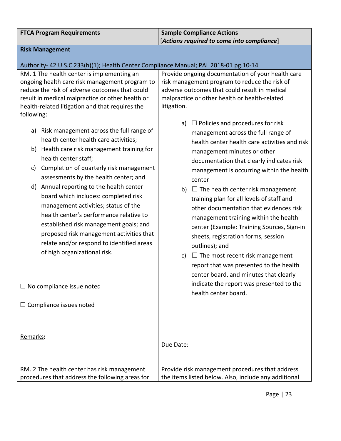| <b>FTCA Program Requirements</b>                                                                 | <b>Sample Compliance Actions</b>                                                               |  |
|--------------------------------------------------------------------------------------------------|------------------------------------------------------------------------------------------------|--|
|                                                                                                  | [Actions required to come into compliance]                                                     |  |
| <b>Risk Management</b>                                                                           |                                                                                                |  |
|                                                                                                  |                                                                                                |  |
| Authority-42 U.S.C 233(h)(1); Health Center Compliance Manual; PAL 2018-01 pg.10-14              |                                                                                                |  |
| RM. 1 The health center is implementing an                                                       | Provide ongoing documentation of your health care                                              |  |
| ongoing health care risk management program to<br>reduce the risk of adverse outcomes that could | risk management program to reduce the risk of<br>adverse outcomes that could result in medical |  |
| result in medical malpractice or other health or                                                 | malpractice or other health or health-related                                                  |  |
| health-related litigation and that requires the                                                  | litigation.                                                                                    |  |
| following:                                                                                       |                                                                                                |  |
|                                                                                                  | $\Box$ Policies and procedures for risk<br>a)                                                  |  |
| Risk management across the full range of<br>a)                                                   | management across the full range of                                                            |  |
| health center health care activities;                                                            | health center health care activities and risk                                                  |  |
| b) Health care risk management training for                                                      | management minutes or other                                                                    |  |
| health center staff;                                                                             | documentation that clearly indicates risk                                                      |  |
| Completion of quarterly risk management<br>c)                                                    | management is occurring within the health                                                      |  |
| assessments by the health center; and                                                            | center                                                                                         |  |
| Annual reporting to the health center<br>d)                                                      |                                                                                                |  |
| board which includes: completed risk                                                             | $\Box$ The health center risk management<br>b)                                                 |  |
| management activities; status of the                                                             | training plan for all levels of staff and                                                      |  |
| health center's performance relative to                                                          | other documentation that evidences risk                                                        |  |
| established risk management goals; and                                                           | management training within the health                                                          |  |
| proposed risk management activities that                                                         | center (Example: Training Sources, Sign-in                                                     |  |
| relate and/or respond to identified areas                                                        | sheets, registration forms, session                                                            |  |
| of high organizational risk.                                                                     | outlines); and                                                                                 |  |
|                                                                                                  | $\Box$ The most recent risk management<br>c)                                                   |  |
|                                                                                                  | report that was presented to the health                                                        |  |
|                                                                                                  | center board, and minutes that clearly                                                         |  |
| $\Box$ No compliance issue noted                                                                 | indicate the report was presented to the                                                       |  |
|                                                                                                  | health center board.                                                                           |  |
| $\Box$ Compliance issues noted                                                                   |                                                                                                |  |
|                                                                                                  |                                                                                                |  |
|                                                                                                  |                                                                                                |  |
|                                                                                                  |                                                                                                |  |
| Remarks:                                                                                         |                                                                                                |  |
|                                                                                                  | Due Date:                                                                                      |  |
|                                                                                                  |                                                                                                |  |
| RM. 2 The health center has risk management                                                      | Provide risk management procedures that address                                                |  |
| procedures that address the following areas for                                                  | the items listed below. Also, include any additional                                           |  |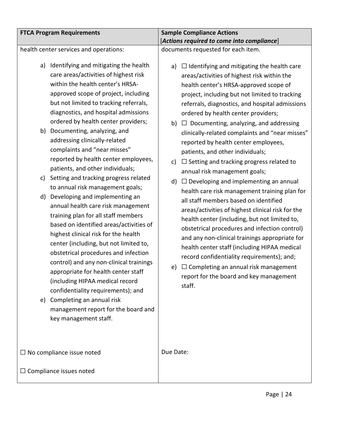| <b>FTCA Program Requirements</b>                                                                                                                                                                                  |                                                                                                                                                                                                                                                                                                                                                                                                                                                                                                                                                                                                                                                                                                                                                                                                                                                                                                |                                            | <b>Sample Compliance Actions</b>                                                                                                                                                                                                                                                                                                                                                                                                                                                                                                                                                                                                                                                                                                                                                                                                                                                                                                                                                                                                                                                                                |
|-------------------------------------------------------------------------------------------------------------------------------------------------------------------------------------------------------------------|------------------------------------------------------------------------------------------------------------------------------------------------------------------------------------------------------------------------------------------------------------------------------------------------------------------------------------------------------------------------------------------------------------------------------------------------------------------------------------------------------------------------------------------------------------------------------------------------------------------------------------------------------------------------------------------------------------------------------------------------------------------------------------------------------------------------------------------------------------------------------------------------|--------------------------------------------|-----------------------------------------------------------------------------------------------------------------------------------------------------------------------------------------------------------------------------------------------------------------------------------------------------------------------------------------------------------------------------------------------------------------------------------------------------------------------------------------------------------------------------------------------------------------------------------------------------------------------------------------------------------------------------------------------------------------------------------------------------------------------------------------------------------------------------------------------------------------------------------------------------------------------------------------------------------------------------------------------------------------------------------------------------------------------------------------------------------------|
|                                                                                                                                                                                                                   |                                                                                                                                                                                                                                                                                                                                                                                                                                                                                                                                                                                                                                                                                                                                                                                                                                                                                                | [Actions required to come into compliance] |                                                                                                                                                                                                                                                                                                                                                                                                                                                                                                                                                                                                                                                                                                                                                                                                                                                                                                                                                                                                                                                                                                                 |
| health center services and operations:                                                                                                                                                                            |                                                                                                                                                                                                                                                                                                                                                                                                                                                                                                                                                                                                                                                                                                                                                                                                                                                                                                |                                            | documents requested for each item.                                                                                                                                                                                                                                                                                                                                                                                                                                                                                                                                                                                                                                                                                                                                                                                                                                                                                                                                                                                                                                                                              |
| a)<br>Documenting, analyzing, and<br>b)<br>addressing clinically-related<br>complaints and "near misses"<br>patients, and other individuals;<br>C)<br>d)<br>e) Completing an annual risk<br>key management staff. | Identifying and mitigating the health<br>care areas/activities of highest risk<br>within the health center's HRSA-<br>approved scope of project, including<br>but not limited to tracking referrals,<br>diagnostics, and hospital admissions<br>ordered by health center providers;<br>reported by health center employees,<br>Setting and tracking progress related<br>to annual risk management goals;<br>Developing and implementing an<br>annual health care risk management<br>training plan for all staff members<br>based on identified areas/activities of<br>highest clinical risk for the health<br>center (including, but not limited to,<br>obstetrical procedures and infection<br>control) and any non-clinical trainings<br>appropriate for health center staff<br>(including HIPAA medical record<br>confidentiality requirements); and<br>management report for the board and | a)<br>b)<br>c)<br>d)<br>e)                 | $\Box$ Identifying and mitigating the health care<br>areas/activities of highest risk within the<br>health center's HRSA-approved scope of<br>project, including but not limited to tracking<br>referrals, diagnostics, and hospital admissions<br>ordered by health center providers;<br>$\Box$ Documenting, analyzing, and addressing<br>clinically-related complaints and "near misses"<br>reported by health center employees,<br>patients, and other individuals;<br>$\Box$ Setting and tracking progress related to<br>annual risk management goals;<br>$\Box$ Developing and implementing an annual<br>health care risk management training plan for<br>all staff members based on identified<br>areas/activities of highest clinical risk for the<br>health center (including, but not limited to,<br>obstetrical procedures and infection control)<br>and any non-clinical trainings appropriate for<br>health center staff (including HIPAA medical<br>record confidentiality requirements); and;<br>$\Box$ Completing an annual risk management<br>report for the board and key management<br>staff. |
| $\Box$ No compliance issue noted                                                                                                                                                                                  |                                                                                                                                                                                                                                                                                                                                                                                                                                                                                                                                                                                                                                                                                                                                                                                                                                                                                                | Due Date:                                  |                                                                                                                                                                                                                                                                                                                                                                                                                                                                                                                                                                                                                                                                                                                                                                                                                                                                                                                                                                                                                                                                                                                 |
| $\Box$ Compliance issues noted                                                                                                                                                                                    |                                                                                                                                                                                                                                                                                                                                                                                                                                                                                                                                                                                                                                                                                                                                                                                                                                                                                                |                                            |                                                                                                                                                                                                                                                                                                                                                                                                                                                                                                                                                                                                                                                                                                                                                                                                                                                                                                                                                                                                                                                                                                                 |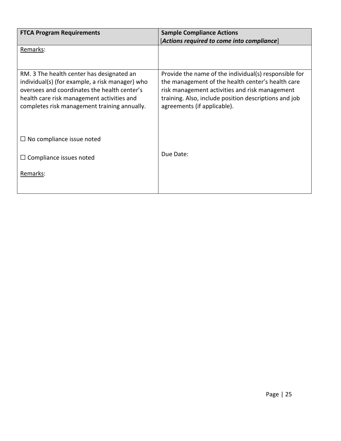| <b>FTCA Program Requirements</b>                                                                                                                                                                                                           | <b>Sample Compliance Actions</b><br>[Actions required to come into compliance]                                                                                                                                                                       |
|--------------------------------------------------------------------------------------------------------------------------------------------------------------------------------------------------------------------------------------------|------------------------------------------------------------------------------------------------------------------------------------------------------------------------------------------------------------------------------------------------------|
| Remarks:                                                                                                                                                                                                                                   |                                                                                                                                                                                                                                                      |
| RM. 3 The health center has designated an<br>individual(s) (for example, a risk manager) who<br>oversees and coordinates the health center's<br>health care risk management activities and<br>completes risk management training annually. | Provide the name of the individual(s) responsible for<br>the management of the health center's health care<br>risk management activities and risk management<br>training. Also, include position descriptions and job<br>agreements (if applicable). |
| $\Box$ No compliance issue noted                                                                                                                                                                                                           |                                                                                                                                                                                                                                                      |
| $\Box$ Compliance issues noted                                                                                                                                                                                                             | Due Date:                                                                                                                                                                                                                                            |
| Remarks:                                                                                                                                                                                                                                   |                                                                                                                                                                                                                                                      |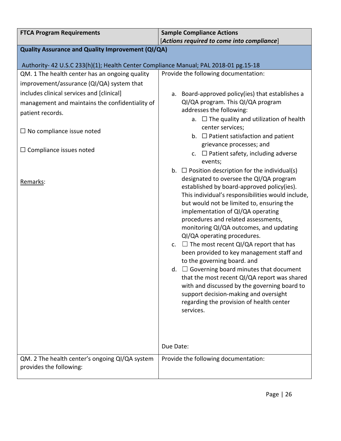| <b>FTCA Program Requirements</b>                                                    | <b>Sample Compliance Actions</b>                                                                |  |  |
|-------------------------------------------------------------------------------------|-------------------------------------------------------------------------------------------------|--|--|
|                                                                                     | [Actions required to come into compliance]                                                      |  |  |
| Quality Assurance and Quality Improvement (QI/QA)                                   |                                                                                                 |  |  |
| Authority-42 U.S.C 233(h)(1); Health Center Compliance Manual; PAL 2018-01 pg.15-18 |                                                                                                 |  |  |
| QM. 1 The health center has an ongoing quality                                      | Provide the following documentation:                                                            |  |  |
| improvement/assurance (QI/QA) system that                                           |                                                                                                 |  |  |
| includes clinical services and [clinical]                                           | Board-approved policy(ies) that establishes a<br>а.                                             |  |  |
| management and maintains the confidentiality of                                     | QI/QA program. This QI/QA program                                                               |  |  |
| patient records.                                                                    | addresses the following:                                                                        |  |  |
|                                                                                     | a. $\Box$ The quality and utilization of health                                                 |  |  |
| $\Box$ No compliance issue noted                                                    | center services;<br>b. $\Box$ Patient satisfaction and patient                                  |  |  |
|                                                                                     | grievance processes; and                                                                        |  |  |
| $\Box$ Compliance issues noted                                                      | c. $\Box$ Patient safety, including adverse                                                     |  |  |
|                                                                                     | events;                                                                                         |  |  |
|                                                                                     | b. $\Box$ Position description for the individual(s)                                            |  |  |
| Remarks:                                                                            | designated to oversee the QI/QA program                                                         |  |  |
|                                                                                     | established by board-approved policy(ies).<br>This individual's responsibilities would include, |  |  |
|                                                                                     | but would not be limited to, ensuring the                                                       |  |  |
|                                                                                     | implementation of QI/QA operating                                                               |  |  |
|                                                                                     | procedures and related assessments,                                                             |  |  |
|                                                                                     | monitoring QI/QA outcomes, and updating<br>QI/QA operating procedures.                          |  |  |
|                                                                                     | $\Box$ The most recent QI/QA report that has<br>$c_{\cdot}$                                     |  |  |
|                                                                                     | been provided to key management staff and                                                       |  |  |
|                                                                                     | to the governing board. and                                                                     |  |  |
|                                                                                     | $\Box$ Governing board minutes that document<br>d.                                              |  |  |
|                                                                                     | that the most recent QI/QA report was shared                                                    |  |  |
|                                                                                     | with and discussed by the governing board to<br>support decision-making and oversight           |  |  |
|                                                                                     | regarding the provision of health center                                                        |  |  |
|                                                                                     | services.                                                                                       |  |  |
|                                                                                     |                                                                                                 |  |  |
|                                                                                     |                                                                                                 |  |  |
|                                                                                     |                                                                                                 |  |  |
|                                                                                     | Due Date:                                                                                       |  |  |
| QM. 2 The health center's ongoing QI/QA system                                      | Provide the following documentation:                                                            |  |  |
| provides the following:                                                             |                                                                                                 |  |  |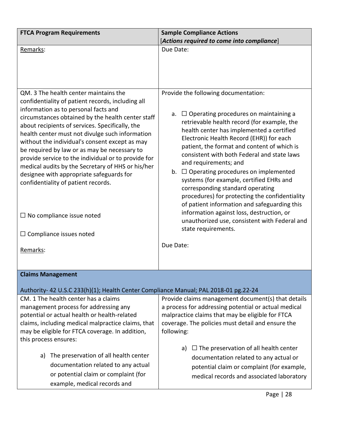| <b>FTCA Program Requirements</b>                                                                                                                                                                                                                                                                                                                                                                                                                                                                                                                                                                                                   | <b>Sample Compliance Actions</b>                                                                                                                                                                                                                                                                                                                                                                                                                                                                                                                                                                                                                                                           |
|------------------------------------------------------------------------------------------------------------------------------------------------------------------------------------------------------------------------------------------------------------------------------------------------------------------------------------------------------------------------------------------------------------------------------------------------------------------------------------------------------------------------------------------------------------------------------------------------------------------------------------|--------------------------------------------------------------------------------------------------------------------------------------------------------------------------------------------------------------------------------------------------------------------------------------------------------------------------------------------------------------------------------------------------------------------------------------------------------------------------------------------------------------------------------------------------------------------------------------------------------------------------------------------------------------------------------------------|
|                                                                                                                                                                                                                                                                                                                                                                                                                                                                                                                                                                                                                                    | [Actions required to come into compliance]                                                                                                                                                                                                                                                                                                                                                                                                                                                                                                                                                                                                                                                 |
| Remarks:                                                                                                                                                                                                                                                                                                                                                                                                                                                                                                                                                                                                                           | Due Date:                                                                                                                                                                                                                                                                                                                                                                                                                                                                                                                                                                                                                                                                                  |
|                                                                                                                                                                                                                                                                                                                                                                                                                                                                                                                                                                                                                                    |                                                                                                                                                                                                                                                                                                                                                                                                                                                                                                                                                                                                                                                                                            |
| QM. 3 The health center maintains the<br>confidentiality of patient records, including all<br>information as to personal facts and<br>circumstances obtained by the health center staff<br>about recipients of services. Specifically, the<br>health center must not divulge such information<br>without the individual's consent except as may<br>be required by law or as may be necessary to<br>provide service to the individual or to provide for<br>medical audits by the Secretary of HHS or his/her<br>designee with appropriate safeguards for<br>confidentiality of patient records.<br>$\Box$ No compliance issue noted | Provide the following documentation:<br>$\Box$ Operating procedures on maintaining a<br>а.<br>retrievable health record (for example, the<br>health center has implemented a certified<br>Electronic Health Record (EHR)) for each<br>patient, the format and content of which is<br>consistent with both Federal and state laws<br>and requirements; and<br>b. $\Box$ Operating procedures on implemented<br>systems (for example, certified EHRs and<br>corresponding standard operating<br>procedures) for protecting the confidentiality<br>of patient information and safeguarding this<br>information against loss, destruction, or<br>unauthorized use, consistent with Federal and |
| $\Box$ Compliance issues noted                                                                                                                                                                                                                                                                                                                                                                                                                                                                                                                                                                                                     | state requirements.<br>Due Date:                                                                                                                                                                                                                                                                                                                                                                                                                                                                                                                                                                                                                                                           |
| Remarks:                                                                                                                                                                                                                                                                                                                                                                                                                                                                                                                                                                                                                           |                                                                                                                                                                                                                                                                                                                                                                                                                                                                                                                                                                                                                                                                                            |
|                                                                                                                                                                                                                                                                                                                                                                                                                                                                                                                                                                                                                                    |                                                                                                                                                                                                                                                                                                                                                                                                                                                                                                                                                                                                                                                                                            |
| <b>Claims Management</b>                                                                                                                                                                                                                                                                                                                                                                                                                                                                                                                                                                                                           |                                                                                                                                                                                                                                                                                                                                                                                                                                                                                                                                                                                                                                                                                            |
| Authority- 42 U.S.C 233(h)(1); Health Center Compliance Manual; PAL 2018-01 pg.22-24                                                                                                                                                                                                                                                                                                                                                                                                                                                                                                                                               |                                                                                                                                                                                                                                                                                                                                                                                                                                                                                                                                                                                                                                                                                            |
| CM. 1 The health center has a claims<br>management process for addressing any<br>potential or actual health or health-related<br>claims, including medical malpractice claims, that<br>may be eligible for FTCA coverage. In addition,<br>this process ensures:                                                                                                                                                                                                                                                                                                                                                                    | Provide claims management document(s) that details<br>a process for addressing potential or actual medical<br>malpractice claims that may be eligible for FTCA<br>coverage. The policies must detail and ensure the<br>following:                                                                                                                                                                                                                                                                                                                                                                                                                                                          |
|                                                                                                                                                                                                                                                                                                                                                                                                                                                                                                                                                                                                                                    | $\Box$ The preservation of all health center<br>a)                                                                                                                                                                                                                                                                                                                                                                                                                                                                                                                                                                                                                                         |
| The preservation of all health center<br>a)<br>documentation related to any actual<br>or potential claim or complaint (for<br>example, medical records and                                                                                                                                                                                                                                                                                                                                                                                                                                                                         | documentation related to any actual or<br>potential claim or complaint (for example,<br>medical records and associated laboratory                                                                                                                                                                                                                                                                                                                                                                                                                                                                                                                                                          |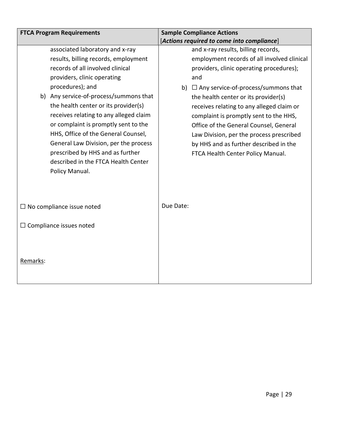|          | <b>FTCA Program Requirements</b>                                                                                                                                                                                                                                                                                                                                                                                                                                                                                |           | <b>Sample Compliance Actions</b>                                                                                                                                                                                                                                                                                                                                                                                                                                                           |
|----------|-----------------------------------------------------------------------------------------------------------------------------------------------------------------------------------------------------------------------------------------------------------------------------------------------------------------------------------------------------------------------------------------------------------------------------------------------------------------------------------------------------------------|-----------|--------------------------------------------------------------------------------------------------------------------------------------------------------------------------------------------------------------------------------------------------------------------------------------------------------------------------------------------------------------------------------------------------------------------------------------------------------------------------------------------|
|          |                                                                                                                                                                                                                                                                                                                                                                                                                                                                                                                 |           | [Actions required to come into compliance]                                                                                                                                                                                                                                                                                                                                                                                                                                                 |
|          | associated laboratory and x-ray<br>results, billing records, employment<br>records of all involved clinical<br>providers, clinic operating<br>procedures); and<br>b) Any service-of-process/summons that<br>the health center or its provider(s)<br>receives relating to any alleged claim<br>or complaint is promptly sent to the<br>HHS, Office of the General Counsel,<br>General Law Division, per the process<br>prescribed by HHS and as further<br>described in the FTCA Health Center<br>Policy Manual. |           | and x-ray results, billing records,<br>employment records of all involved clinical<br>providers, clinic operating procedures);<br>and<br>b) $\Box$ Any service-of-process/summons that<br>the health center or its provider(s)<br>receives relating to any alleged claim or<br>complaint is promptly sent to the HHS,<br>Office of the General Counsel, General<br>Law Division, per the process prescribed<br>by HHS and as further described in the<br>FTCA Health Center Policy Manual. |
|          | $\Box$ No compliance issue noted                                                                                                                                                                                                                                                                                                                                                                                                                                                                                | Due Date: |                                                                                                                                                                                                                                                                                                                                                                                                                                                                                            |
|          | $\Box$ Compliance issues noted                                                                                                                                                                                                                                                                                                                                                                                                                                                                                  |           |                                                                                                                                                                                                                                                                                                                                                                                                                                                                                            |
| Remarks: |                                                                                                                                                                                                                                                                                                                                                                                                                                                                                                                 |           |                                                                                                                                                                                                                                                                                                                                                                                                                                                                                            |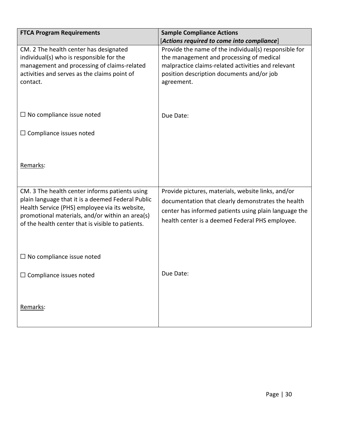| <b>FTCA Program Requirements</b>                                                                                                                                                                                                                              | <b>Sample Compliance Actions</b>                                                                                                                                                                                     |
|---------------------------------------------------------------------------------------------------------------------------------------------------------------------------------------------------------------------------------------------------------------|----------------------------------------------------------------------------------------------------------------------------------------------------------------------------------------------------------------------|
|                                                                                                                                                                                                                                                               | [Actions required to come into compliance]                                                                                                                                                                           |
| CM. 2 The health center has designated<br>individual(s) who is responsible for the<br>management and processing of claims-related<br>activities and serves as the claims point of<br>contact.                                                                 | Provide the name of the individual(s) responsible for<br>the management and processing of medical<br>malpractice claims-related activities and relevant<br>position description documents and/or job<br>agreement.   |
| $\Box$ No compliance issue noted                                                                                                                                                                                                                              | Due Date:                                                                                                                                                                                                            |
| $\Box$ Compliance issues noted                                                                                                                                                                                                                                |                                                                                                                                                                                                                      |
| Remarks:                                                                                                                                                                                                                                                      |                                                                                                                                                                                                                      |
| CM. 3 The health center informs patients using<br>plain language that it is a deemed Federal Public<br>Health Service (PHS) employee via its website,<br>promotional materials, and/or within an area(s)<br>of the health center that is visible to patients. | Provide pictures, materials, website links, and/or<br>documentation that clearly demonstrates the health<br>center has informed patients using plain language the<br>health center is a deemed Federal PHS employee. |
| $\Box$ No compliance issue noted                                                                                                                                                                                                                              |                                                                                                                                                                                                                      |
| $\Box$ Compliance issues noted                                                                                                                                                                                                                                | Due Date:                                                                                                                                                                                                            |
| Remarks:                                                                                                                                                                                                                                                      |                                                                                                                                                                                                                      |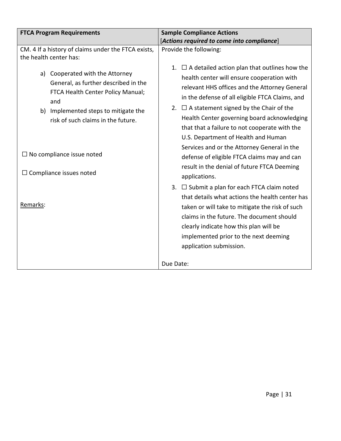| <b>FTCA Program Requirements</b>                                                                                                                                                                                                                                                                                                                                     | <b>Sample Compliance Actions</b>                                                                                                                                                                                                                                                                                                                                                                                                                                                                                                                                                                                                                                                                                                                                                                                                                                                                                                                                   |
|----------------------------------------------------------------------------------------------------------------------------------------------------------------------------------------------------------------------------------------------------------------------------------------------------------------------------------------------------------------------|--------------------------------------------------------------------------------------------------------------------------------------------------------------------------------------------------------------------------------------------------------------------------------------------------------------------------------------------------------------------------------------------------------------------------------------------------------------------------------------------------------------------------------------------------------------------------------------------------------------------------------------------------------------------------------------------------------------------------------------------------------------------------------------------------------------------------------------------------------------------------------------------------------------------------------------------------------------------|
| CM. 4 If a history of claims under the FTCA exists,<br>the health center has:<br>a) Cooperated with the Attorney<br>General, as further described in the<br>FTCA Health Center Policy Manual;<br>and<br>b) Implemented steps to mitigate the<br>risk of such claims in the future.<br>$\Box$ No compliance issue noted<br>$\Box$ Compliance issues noted<br>Remarks: | [Actions required to come into compliance]<br>Provide the following:<br>$\Box$ A detailed action plan that outlines how the<br>1.<br>health center will ensure cooperation with<br>relevant HHS offices and the Attorney General<br>in the defense of all eligible FTCA Claims, and<br>2. $\Box$ A statement signed by the Chair of the<br>Health Center governing board acknowledging<br>that that a failure to not cooperate with the<br>U.S. Department of Health and Human<br>Services and or the Attorney General in the<br>defense of eligible FTCA claims may and can<br>result in the denial of future FTCA Deeming<br>applications.<br>3. $\Box$ Submit a plan for each FTCA claim noted<br>that details what actions the health center has<br>taken or will take to mitigate the risk of such<br>claims in the future. The document should<br>clearly indicate how this plan will be<br>implemented prior to the next deeming<br>application submission. |
|                                                                                                                                                                                                                                                                                                                                                                      | Due Date:                                                                                                                                                                                                                                                                                                                                                                                                                                                                                                                                                                                                                                                                                                                                                                                                                                                                                                                                                          |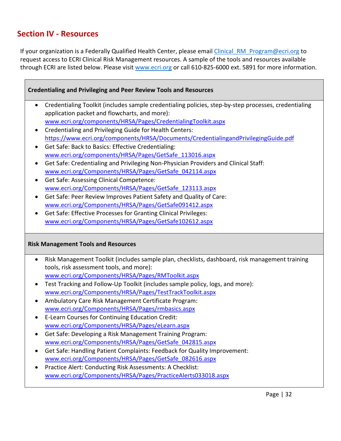## <span id="page-31-0"></span>**Section IV - Resources**

If your organization is a Federally Qualified Health Center, please email [Clinical\\_RM\\_Program@ecri.org](mailto:Clinical_RM_Program@ecri.org) to request access to ECRI Clinical Risk Management resources. A sample of the tools and resources available through ECRI are listed below. Please visit [www.ecri.org](http://www.ecri.org/) or call 610-825-6000 ext. 5891 for more information.

#### **Credentialing and Privileging and Peer Review Tools and Resources**

- Credentialing Toolkit (includes sample credentialing policies, step-by-step processes, credentialing application packet and flowcharts, and more): [www.ecri.org/components/HRSA/Pages/CredentialingToolkit.aspx](http://www.ecri.org/components/HRSA/Pages/CredentialingToolkit.aspx)
- Credentialing and Privileging Guide for Health Centers: <https://www.ecri.org/components/HRSA/Documents/CredentialingandPrivilegingGuide.pdf>
- Get Safe: Back to Basics: Effective Credentialing: [www.ecri.org/components/HRSA/Pages/GetSafe\\_113016.aspx](http://www.ecri.org/components/HRSA/Pages/GetSafe_113016.aspx)
- Get Safe: Credentialing and Privileging Non-Physician Providers and Clinical Staff: [www.ecri.org/Components/HRSA/Pages/GetSafe\\_042114.aspx](http://www.ecri.org/Components/HRSA/Pages/GetSafe_042114.aspx)
- Get Safe: Assessing Clinical Competence: [www.ecri.org/Components/HRSA/Pages/GetSafe\\_123113.aspx](http://www.ecri.org/Components/HRSA/Pages/GetSafe_123113.aspx)
- Get Safe: Peer Review Improves Patient Safety and Quality of Care: [www.ecri.org/Components/HRSA/Pages/GetSafe091412.aspx](http://www.ecri.org/Components/HRSA/Pages/GetSafe_091412.aspx)
- Get Safe: Effective Processes for Granting Clinical Privileges: [www.ecri.org/Components/HRSA/Pages/GetSafe102612.aspx](http://www.ecri.org/Components/HRSA/Pages/GetSafe_102612.aspx)

#### **Risk Management Tools and Resources**

- Risk Management Toolkit (includes sample plan, checklists, dashboard, risk management training tools, risk assessment tools, and more): [www.ecri.org/Components/HRSA/Pages/RMToolkit.aspx](http://www.ecri.org/Components/HRSA/Pages/RMToolkit.aspx)
- Test Tracking and Follow-Up Toolkit (includes sample policy, logs, and more): [www.ecri.org/Components/HRSA/Pages/TestTrackToolkit.aspx](http://www.ecri.org/Components/HRSA/Pages/TestTrackToolkit.aspx)
- Ambulatory Care Risk Management Certificate Program: [www.ecri.org/Components/HRSA/Pages/rmbasics.aspx](http://www.ecri.org/Components/HRSA/Pages/rmbasics.aspx)
- E-Learn Courses for Continuing Education Credit: [www.ecri.org/Components/HRSA/Pages/eLearn.aspx](http://www.ecri.org/Components/HRSA/Pages/eLearn.aspx)
- Get Safe: Developing a Risk Management Training Program: [www.ecri.org/Components/HRSA/Pages/GetSafe\\_042815.aspx](http://www.ecri.org/Components/HRSA/Pages/GetSafe_042815.aspx)
- Get Safe: Handling Patient Complaints: Feedback for Quality Improvement: [www.ecri.org/Components/HRSA/Pages/GetSafe\\_082616.aspx](http://www.ecri.org/Components/HRSA/Pages/GetSafe_082616.aspx)
- Practice Alert: Conducting Risk Assessments: A Checklist: [www.ecri.org/Components/HRSA/Pages/PracticeAlerts033018.aspx](http://www.ecri.org/Components/HRSA/Pages/PracticeAlerts033018.aspx)